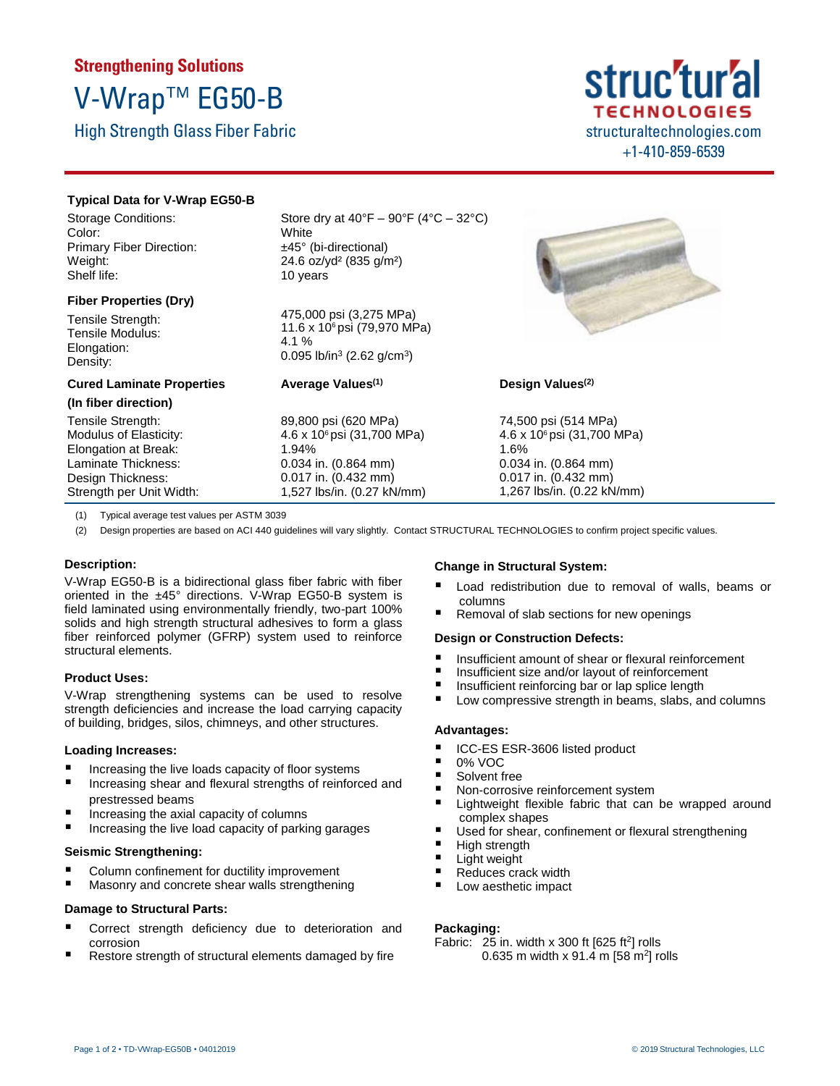# **Strengthening Solutions** V-Wrap™ EG50-B

High Strength Glass Fiber Fabric



### **Typical Data for V-Wrap EG50-B**

Storage Conditions: Color: Primary Fiber Direction: Weight: Shelf life:

## **Fiber Properties (Dry)**

**Cured Laminate Properties**

Tensile Strength: Tensile Modulus: Elongation: Density:

**(In fiber direction)** Tensile Strength: Modulus of Elasticity: Elongation at Break: Laminate Thickness: Design Thickness: Strength per Unit Width: Store dry at  $40^{\circ}F - 90^{\circ}F (4^{\circ}C - 32^{\circ}C)$ **White** ±45° (bi-directional) 24.6 oz/yd² (835 g/m²) 10 years

475,000 psi (3,275 MPa) 11.6 x 106 psi (79,970 MPa) 4.1 % 0.095 lb/in<sup>3</sup> (2.62 g/cm<sup>3</sup>)

## **Average Values (1)**

89,800 psi (620 MPa) 4.6 x 106 psi (31,700 MPa) 1.94% 0.034 in. (0.864 mm) 0.017 in. (0.432 mm) 1,527 lbs/in. (0.27 kN/mm)



### **Design Values (2)**

74,500 psi (514 MPa) 4.6 x 106 psi (31,700 MPa) 1.6% 0.034 in. (0.864 mm) 0.017 in. (0.432 mm) 1,267 lbs/in. (0.22 kN/mm)

(1) Typical average test values per ASTM 3039

(2) Design properties are based on ACI 440 guidelines will vary slightly. Contact STRUCTURAL TECHNOLOGIES to confirm project specific values.

### **Description:**

V-Wrap EG50-B is a bidirectional glass fiber fabric with fiber oriented in the ±45° directions. V-Wrap EG50-B system is field laminated using environmentally friendly, two-part 100% solids and high strength structural adhesives to form a glass fiber reinforced polymer (GFRP) system used to reinforce structural elements.

### **Product Uses:**

V-Wrap strengthening systems can be used to resolve strength deficiencies and increase the load carrying capacity of building, bridges, silos, chimneys, and other structures.

### **Loading Increases:**

- Increasing the live loads capacity of floor systems
- Increasing shear and flexural strengths of reinforced and prestressed beams
- Increasing the axial capacity of columns
- Increasing the live load capacity of parking garages

### **Seismic Strengthening:**

- Column confinement for ductility improvement
- Masonry and concrete shear walls strengthening

### **Damage to Structural Parts:**

- Correct strength deficiency due to deterioration and corrosion
- Restore strength of structural elements damaged by fire

### **Change in Structural System:**

- Load redistribution due to removal of walls, beams or columns
- Removal of slab sections for new openings

### **Design or Construction Defects:**

- Insufficient amount of shear or flexural reinforcement
- Insufficient size and/or layout of reinforcement
- Insufficient reinforcing bar or lap splice length
- Low compressive strength in beams, slabs, and columns

### **Advantages:**

- ICC-ES ESR-3606 listed product
- $\blacksquare$  0% VOC
- Solvent free
- Non-corrosive reinforcement system
- Lightweight flexible fabric that can be wrapped around complex shapes
- Used for shear, confinement or flexural strengthening
- $\blacksquare$  High strength
- Light weight
- Reduces crack width
- Low aesthetic impact

### **Packaging:**

Fabric:  $25$  in. width x 300 ft [625 ft<sup>2</sup>] rolls 0.635 m width x 91.4 m [58 m<sup>2</sup>] rolls